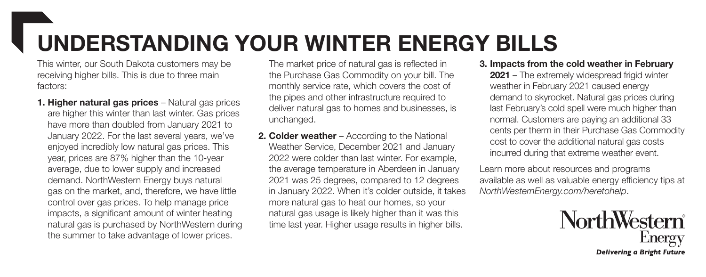## UNDERSTANDING YOUR WINTER ENERGY BILLS

This winter, our South Dakota customers may be receiving higher bills. This is due to three main factors:

1. Higher natural gas prices - Natural gas prices are higher this winter than last winter. Gas prices have more than doubled from January 2021 to January 2022. For the last several years, we've enjoyed incredibly low natural gas prices. This year, prices are 87% higher than the 10-year average, due to lower supply and increased demand. NorthWestern Energy buys natural gas on the market, and, therefore, we have little control over gas prices. To help manage price impacts, a significant amount of winter heating natural gas is purchased by NorthWestern during the summer to take advantage of lower prices.

The market price of natural gas is reflected in the Purchase Gas Commodity on your bill. The monthly service rate, which covers the cost of the pipes and other infrastructure required to deliver natural gas to homes and businesses, is unchanged.

**2. Colder weather** – According to the National Weather Service, December 2021 and January 2022 were colder than last winter. For example, the average temperature in Aberdeen in January 2021 was 25 degrees, compared to 12 degrees in January 2022. When it's colder outside, it takes more natural gas to heat our homes, so your natural gas usage is likely higher than it was this time last year. Higher usage results in higher bills.

## 3. Impacts from the cold weather in February

2021 – The extremely widespread frigid winter weather in February 2021 caused energy demand to skyrocket. Natural gas prices during last February's cold spell were much higher than normal. Customers are paying an additional 33 cents per therm in their Purchase Gas Commodity cost to cover the additional natural gas costs incurred during that extreme weather event.

Learn more about resources and programs available as well as valuable energy efficiency tips at *NorthWesternEnergy.com/heretohelp*.